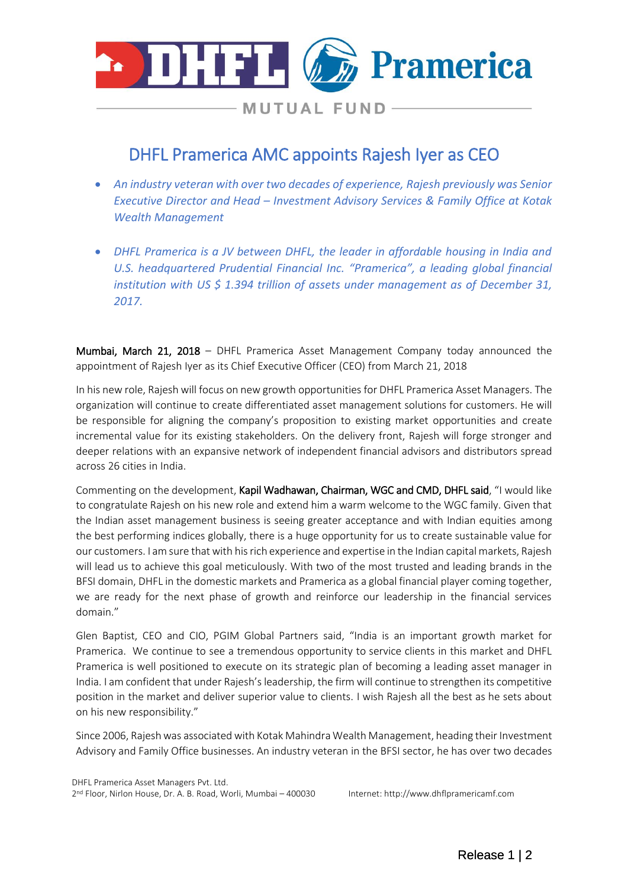

**MUTUAL FUND-**

# DHFL Pramerica AMC appoints Rajesh Iyer as CEO

- *An industry veteran with over two decades of experience, Rajesh previously was Senior Executive Director and Head – Investment Advisory Services & Family Office at Kotak Wealth Management*
- *DHFL Pramerica is a JV between DHFL, the leader in affordable housing in India and U.S. headquartered Prudential Financial Inc. "Pramerica", a leading global financial institution with US \$ 1.394 trillion of assets under management as of December 31, 2017.*

Mumbai, March 21, 2018 – DHFL Pramerica Asset Management Company today announced the appointment of Rajesh Iyer as its Chief Executive Officer (CEO) from March 21, 2018

In his new role, Rajesh will focus on new growth opportunities for DHFL Pramerica Asset Managers. The organization will continue to create differentiated asset management solutions for customers. He will be responsible for aligning the company's proposition to existing market opportunities and create incremental value for its existing stakeholders. On the delivery front, Rajesh will forge stronger and deeper relations with an expansive network of independent financial advisors and distributors spread across 26 cities in India.

Commenting on the development, Kapil Wadhawan, Chairman, WGC and CMD, DHFL said, "I would like to congratulate Rajesh on his new role and extend him a warm welcome to the WGC family. Given that the Indian asset management business is seeing greater acceptance and with Indian equities among the best performing indices globally, there is a huge opportunity for us to create sustainable value for our customers. I am sure that with his rich experience and expertise in the Indian capital markets, Rajesh will lead us to achieve this goal meticulously. With two of the most trusted and leading brands in the BFSI domain, DHFL in the domestic markets and Pramerica as a global financial player coming together, we are ready for the next phase of growth and reinforce our leadership in the financial services domain."

Glen Baptist, CEO and CIO, PGIM Global Partners said, "India is an important growth market for Pramerica. We continue to see a tremendous opportunity to service clients in this market and DHFL Pramerica is well positioned to execute on its strategic plan of becoming a leading asset manager in India. I am confident that under Rajesh's leadership, the firm will continue to strengthen its competitive position in the market and deliver superior value to clients. I wish Rajesh all the best as he sets about on his new responsibility."

Since 2006, Rajeshwas associated with Kotak Mahindra Wealth Management, heading their Investment Advisory and Family Office businesses. An industry veteran in the BFSI sector, he has over two decades

2 nd Floor, Nirlon House, Dr. A. B. Road, Worli, Mumbai – 400030 Internet: http://www.dhflpramericamf.com